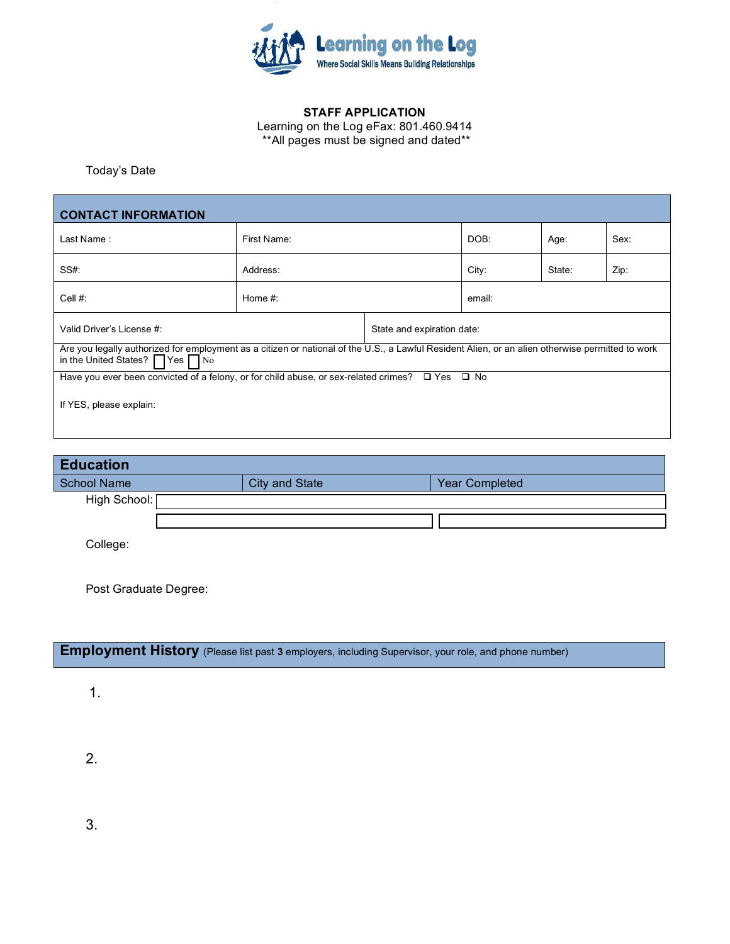

## **STAFF APPLICATION**

Learning on the Log eFax: 801.460.9414 \*\*All pages must be signed and dated\*\*

Today's Date \_\_\_\_\_ \_\_\_\_\_\_\_\_\_\_

| <b>CONTACT INFORMATION</b>                                                                                                                                                                     |             |                            |        |        |      |  |  |  |  |
|------------------------------------------------------------------------------------------------------------------------------------------------------------------------------------------------|-------------|----------------------------|--------|--------|------|--|--|--|--|
| Last Name:                                                                                                                                                                                     | First Name: |                            | DOB:   | Age:   | Sex: |  |  |  |  |
| SS#                                                                                                                                                                                            | Address:    |                            | City:  | State: | Zip: |  |  |  |  |
| Cell $#$ :                                                                                                                                                                                     | Home $#$ :  |                            | email: |        |      |  |  |  |  |
| Valid Driver's License #:                                                                                                                                                                      |             | State and expiration date: |        |        |      |  |  |  |  |
| Are you legally authorized for employment as a citizen or national of the U.S., a Lawful Resident Alien, or an alien otherwise permitted to work<br>in the United States? $\Box$ Yes $\Box$ No |             |                            |        |        |      |  |  |  |  |
| Have you ever been convicted of a felony, or for child abuse, or sex-related crimes? $\Box$ Yes $\Box$ No                                                                                      |             |                            |        |        |      |  |  |  |  |
| If YES, please explain:                                                                                                                                                                        |             |                            |        |        |      |  |  |  |  |
|                                                                                                                                                                                                |             |                            |        |        |      |  |  |  |  |

| <b>Education</b>   |  |                |  |                       |  |  |  |  |
|--------------------|--|----------------|--|-----------------------|--|--|--|--|
| <b>School Name</b> |  | City and State |  | <b>Year Completed</b> |  |  |  |  |
| High School: [     |  |                |  |                       |  |  |  |  |
|                    |  |                |  |                       |  |  |  |  |
| College:           |  |                |  |                       |  |  |  |  |

Post Graduate Degree:

## **Employment History** (Please list past 3 employers, including Supervisor, your role, and phone number)

1.

2.

3.